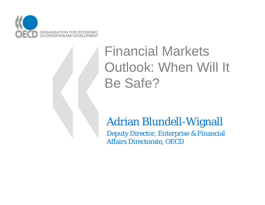

# Financial Markets Outlook: When Will It Be Safe?

### Adrian Blundell-Wignall

Deputy Director, Enterprise & Financial Affairs Directorate, OECD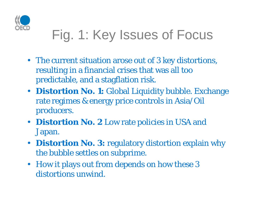

# Fig. 1: Key Issues of Focus

- The current situation arose out of 3 key distortions, resulting in a financial crises that was all too predictable, and a stagflation risk.
- **Distortion No. 1:** Global Liquidity bubble. Exchange rate regimes & energy price controls in Asia/Oil producers.
- **Distortion No. 2** Low rate policies in USA and Japan.
- $\bullet$ **Distortion No. 3:** regulatory distortion explain why the bubble settles on subprime.
- How it plays out from depends on how these 3 distortions unwind.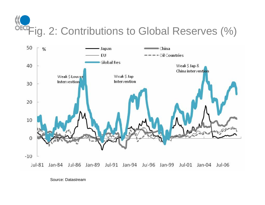OECPFig. 2: Contributions to Global Reserves (%)



Source: Datastream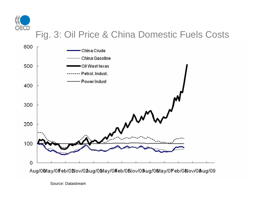

#### Fig. 3: Oil Price & China Domestic Fuels Costs



Source: Datastream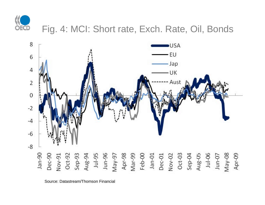

#### Fig. 4: MCI: Short rate, Exch. Rate, Oil, Bonds



Source: Datastream/Thomson Financial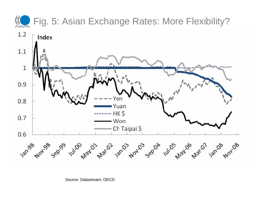

Source: Datastream, OECD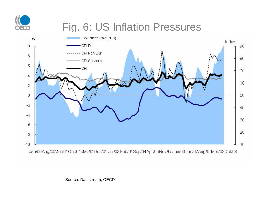

## Fig. 6: US Inflation Pressures



Source: Datastream, OECD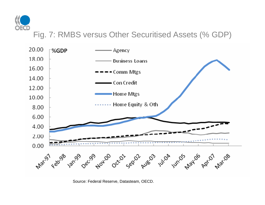

#### Fig. 7: RMBS versus Other Securitised Assets (% GDP)



Source: Federal Reserve, Datasteam, OECD.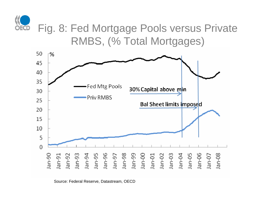

Fig. 8: Fed Mortgage Pools versus Private RMBS, (% Total Mortgages)



Source: Federal Reserve, Datastream, OECD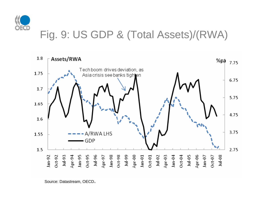

### Fig. 9: US GDP & (Total Assets)/(RWA)



Source: Datastream, OECD.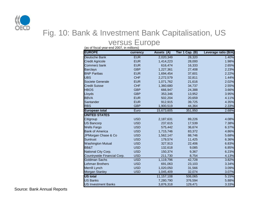

#### Fig. 10: Bank & Investment Bank Capitalisation, US

#### versus Europe

| (as of fiscal year-end 2007, in millions) |            |                      |                 |                      |  |  |  |
|-------------------------------------------|------------|----------------------|-----------------|----------------------|--|--|--|
| <b>EUROPE</b>                             | currency   | (A)<br><b>Assets</b> | Tier 1 Cap. (B) | Leverage ratio (B/A) |  |  |  |
| <b>Deutsche Bank</b>                      | <b>EUR</b> | 2,020,349            | 28,320          | 1.40%                |  |  |  |
| <b>Credit Agricole</b>                    | <b>EUR</b> | 1,414,223            | 28,000          | 1.98%                |  |  |  |
| Commerz bank                              | <b>EUR</b> | 616,474              | 16,333          | 2.65%                |  |  |  |
| <b>Barclays</b>                           | <b>GBP</b> | 1,227,361            | 27,408          | 2.23%                |  |  |  |
| <b>BNP Paribas</b>                        | <b>EUR</b> | 1,694,454            | 37,601          | 2.22%                |  |  |  |
| <b>UBS</b>                                | <b>CHF</b> | 2,272,579            | 32,811          | 1.44%                |  |  |  |
| Societe Generale                          | <b>EUR</b> | 1,071,762            | 21,616          | 2.02%                |  |  |  |
| <b>Credit Suisse</b>                      | <b>CHF</b> | 1,360,680            | 34,737          | 2.55%                |  |  |  |
| <b>HBOS</b>                               | <b>GBP</b> | 666,947              | 24,388          | 3.66%                |  |  |  |
| Lloyds                                    | <b>GBP</b> | 353,346              | 13,952          | 3.95%                |  |  |  |
| <b>BBVA</b>                               | <b>EUR</b> | 502,204              | 20,659          | 4.11%                |  |  |  |
| Santander                                 | <b>EUR</b> | 912,915              | 39,725          | 4.35%                |  |  |  |
| <b>RBS</b>                                | <b>GBP</b> | 1,900,519            | 44,364          | 2.33%                |  |  |  |
| <b>European total</b>                     | Euro       | 15,673,605           | 351,950         | 2.68%                |  |  |  |
| <b>UNITED STATES</b>                      |            |                      |                 |                      |  |  |  |
| Citigroup                                 | <b>USD</b> | 2,187,631            | 89,226          | 4.08%                |  |  |  |
| <b>US Bancorp</b>                         | <b>USD</b> | 237,615              | 17,539          | 7.38%                |  |  |  |
| <b>Wells Fargo</b>                        | <b>USD</b> | 575,442              | 36,674          | 6.37%                |  |  |  |
| <b>Bank of America</b>                    | <b>USD</b> | 1,715,746            | 83,372          | 4.86%                |  |  |  |
| JPMorgan Chase & Co                       | <b>USD</b> | 1,562,147            | 88,746          | 5.68%                |  |  |  |
| <b>Suntrust</b>                           | <b>USD</b> | 179,574              | 11,425          | 6.36%                |  |  |  |
| <b>Washington Mutual</b>                  | <b>USD</b> | 327,913              | 22,406          | 6.83%                |  |  |  |
| <b>BB&amp;T</b>                           | <b>USD</b> | 132,618              | 9,085           | 6.85%                |  |  |  |
| National City Corp.                       | <b>USD</b> | 150,374              | 9,367           | 6.23%                |  |  |  |
| Countrywide Financial Corp.               | <b>USD</b> | 211,730              | 8,754           | 4.13%                |  |  |  |
| <b>Goldman Sachs</b>                      | <b>USD</b> | 1,119,796            | 42,728          | 3.82%                |  |  |  |
| <b>Lehman Brothers</b>                    | <b>USD</b> | 691,063              | 23,103          | 3.34%                |  |  |  |
| Merrill Lynch                             | <b>USD</b> | 1,020,050            | 31,566          | 3.09%                |  |  |  |
| Morgan Stanley                            | <b>USD</b> | 1,045,409            | 32,074          | 3.07%                |  |  |  |
| <b>US</b> total                           |            | 11, 157, 108         | 506,065         | 5.15%                |  |  |  |
| <b>US Banks</b>                           |            | 7,280,790            | 376,594         | 5.88%                |  |  |  |
| <b>US Investment Banks</b>                |            | 3,876,318            | 129,471         | 3.33%                |  |  |  |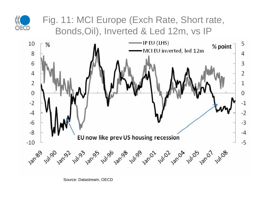

#### Fig. 11: MCI Europe (Exch Rate, Short rate, Bonds,Oil), Inverted & Led 12m, vs IP



Source: Datastream, OECD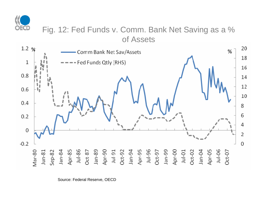

#### Fig. 12: Fed Funds v. Comm. Bank Net Saving as a % of Assets



Source: Federal Reserve, OECD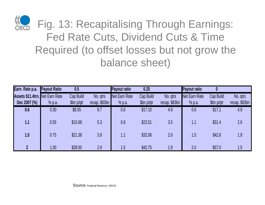

Fig. 13: Recapitalising Through Earnings: Fed Rate Cuts, Dividend Cuts & Time Required (to offset losses but not grow the balance sheet)

| Earn. Rate p.a.                        | <b>Payout Ratio</b> | 0.5        |               | <b>Payout ratio</b> | 0.25       |               | <b>Payout ratio</b> |            |               |
|----------------------------------------|---------------------|------------|---------------|---------------------|------------|---------------|---------------------|------------|---------------|
| <b>Assets \$11.4trn.</b> Net Earn Rate |                     | Cap Build  | No. gtrs      | Net Earn Rate       | Cap Build  | No. gtrs      | Net Earn Rate       | Cap Build  | No. gtrs      |
| Dec 2007 (%)                           | % p.a.              | \$bn p/qtr | recap. \$83bn | % p.a.              | \$bn p/qtr | recap. \$83bn | % p.a.              | \$bn p/qtr | recap. \$83bn |
| 0.6                                    | 0.30                | \$8.55     | 9.7           | 0.6                 | \$17.10    | 4.9           | 0.6                 | \$17.1     | 4.9           |
| 1.1                                    | 0.55                | \$15.68    | 5.3           | 0.8                 | \$23.51    | 3.5           | 1.1                 | \$31.4     | 2.6           |
| 1.5                                    | 0.75                | \$21.38    | 3.9           | 1.1                 | \$32.06    | 2.6           | 1.5                 | \$42.8     | 1.9           |
| $\overline{2}$                         | 1.00                | \$28.50    | 2.9           | 1.5                 | \$42.75    | 1.9           | 2.0                 | \$57.0     | 1.5           |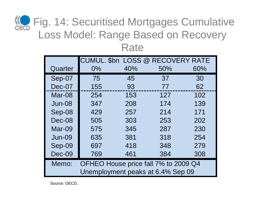## **KC** Fig. 14: Securitised Mortgages Cumulative Loss Model: Range Based on Recovery **Rate**

|                                               |       |     | CUMUL. \$bn LOSS @ RECOVERY RATE |     |  |
|-----------------------------------------------|-------|-----|----------------------------------|-----|--|
| Quarter                                       | $0\%$ | 40% | 50%                              | 60% |  |
| Sep-07                                        | 75    | 45  | 37                               | 30  |  |
| Dec-07                                        | 155   | 93  | 77                               | 62  |  |
| Mar-08                                        | 254   | 153 | 127                              | 102 |  |
| $Jun-08$                                      | 347   | 208 | 174                              | 139 |  |
| Sep-08                                        | 429   | 257 | 214                              | 171 |  |
| Dec-08                                        | 505   | 303 | 253                              | 202 |  |
| Mar-09                                        | 575   | 345 | 287                              | 230 |  |
| $Jun-09$                                      | 635   | 381 | 318                              | 254 |  |
| Sep-09                                        | 697   | 418 | 348                              | 279 |  |
| Dec-09                                        | 769   | 461 | 384                              | 308 |  |
| OFHEO House price fall 7% to 2009 Q4<br>Memo: |       |     |                                  |     |  |
| Unemployment peaks at 6.4% Sep 09             |       |     |                                  |     |  |

Source: OECD.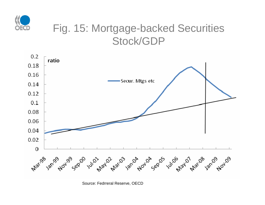

### Fig. 15: Mortgage-backed Securities Stock/GDP



Source: Fedrreral Reserve, OECD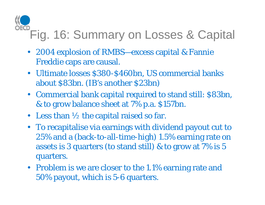# Fig. 16: Summary on Losses & Capital

- 2004 explosion of RMBS—excess capital & Fannie Freddie caps are causal.
- Ultimate losses \$380-\$460bn, US commercial banks about \$83bn. (IB's another \$23bn)
- Commercial bank capital required to stand still: \$83bn, & to grow balance sheet at 7% p.a. \$157bn.
- Less than  $\frac{1}{2}$  the capital raised so far.
- To recapitalise via earnings with dividend payout cut to 25% and a (back-to-all-time-high) 1.5% earning rate on assets is 3 quarters (to stand still) & to grow at 7% is 5 quarters.
- Problem is we are closer to the 1.1% earning rate and 50% payout, which is 5-6 quarters.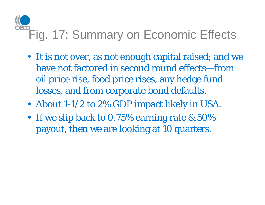# Fig. 17: Summary on Economic Effects

- It is not over, as not enough capital raised; and we have not factored in second round effects—from oil price rise, food price rises, any hedge fund losses, and from corporate bond defaults.
- About 1-1/2 to 2% GDP impact likely in USA.
- If we slip back to 0.75% earning rate & 50%  $\,$ payout, then we are looking at 10 quarters.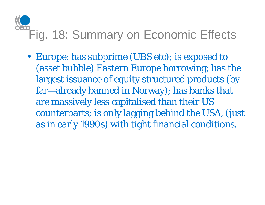# Fig. 18: Summary on Economic Effects

• Europe: has subprime (UBS etc); is exposed to (asset bubble) Eastern Europe borrowing; has the largest issuance of equity structured products (by far—already banned in Norway); has banks that are massively less capitalised than their US counterparts; is only lagging behind the USA, (just as in early 1990s) with tight financial conditions.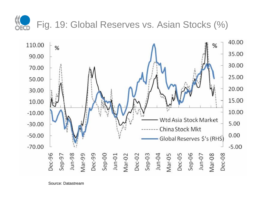

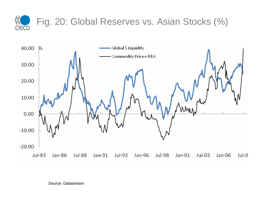



Source: Datastream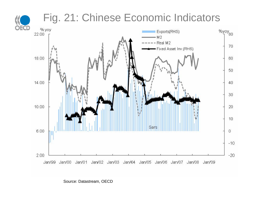

Source: Datastream, OECD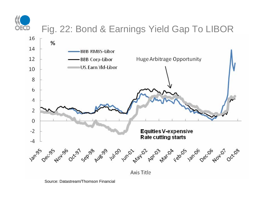

### Fig. 22: Bond & Earnings Yield Gap To LIBOR



Source: Datastream/Thomson Financial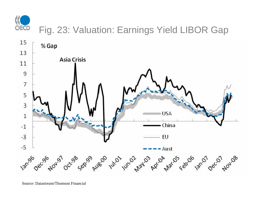

### Fig. 23: Valuation: Earnings Yield LIBOR Gap



Source: Datastream/Thomson Financial